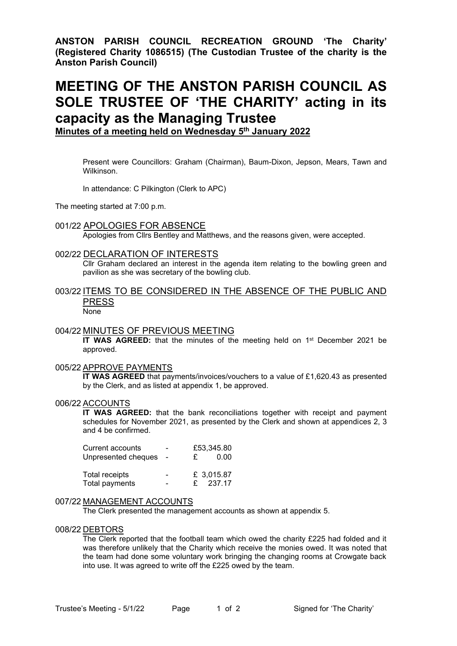**ANSTON PARISH COUNCIL RECREATION GROUND 'The Charity' (Registered Charity 1086515) (The Custodian Trustee of the charity is the Anston Parish Council)**

# **MEETING OF THE ANSTON PARISH COUNCIL AS SOLE TRUSTEE OF 'THE CHARITY' acting in its capacity as the Managing Trustee**

**Minutes of a meeting held on Wednesday 5 th January 2022**

Present were Councillors: Graham (Chairman), Baum-Dixon, Jepson, Mears, Tawn and Wilkinson.

In attendance: C Pilkington (Clerk to APC)

The meeting started at 7:00 p.m.

## 001/22 APOLOGIES FOR ABSENCE

Apologies from Cllrs Bentley and Matthews, and the reasons given, were accepted.

#### 002/22 DECLARATION OF INTERESTS

Cllr Graham declared an interest in the agenda item relating to the bowling green and pavilion as she was secretary of the bowling club.

# 003/22 ITEMS TO BE CONSIDERED IN THE ABSENCE OF THE PUBLIC AND PRESS

**None** 

#### 004/22 MINUTES OF PREVIOUS MEETING

**IT WAS AGREED:** that the minutes of the meeting held on 1<sup>st</sup> December 2021 be approved.

## 005/22 APPROVE PAYMENTS

**IT WAS AGREED** that payments/invoices/vouchers to a value of £1,620.43 as presented by the Clerk, and as listed at appendix 1, be approved.

#### 006/22 ACCOUNTS

**IT WAS AGREED:** that the bank reconciliations together with receipt and payment schedules for November 2021, as presented by the Clerk and shown at appendices 2, 3 and 4 be confirmed.

| Current accounts      | $\blacksquare$ | £53,345.80  |
|-----------------------|----------------|-------------|
| Unpresented cheques   |                | 0.00<br>£   |
| <b>Total receipts</b> | $\blacksquare$ | £ 3,015.87  |
| Total payments        |                | 237.17<br>£ |

#### 007/22 MANAGEMENT ACCOUNTS

The Clerk presented the management accounts as shown at appendix 5.

#### 008/22 DEBTORS

The Clerk reported that the football team which owed the charity £225 had folded and it was therefore unlikely that the Charity which receive the monies owed. It was noted that the team had done some voluntary work bringing the changing rooms at Crowgate back into use. It was agreed to write off the £225 owed by the team.